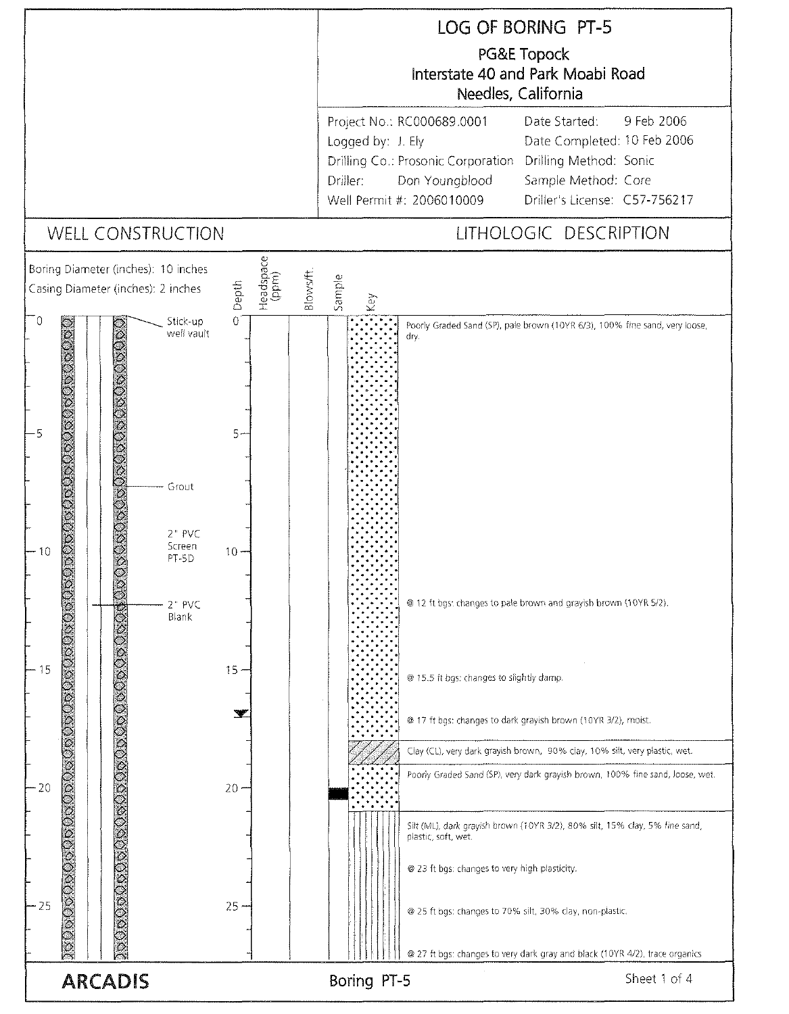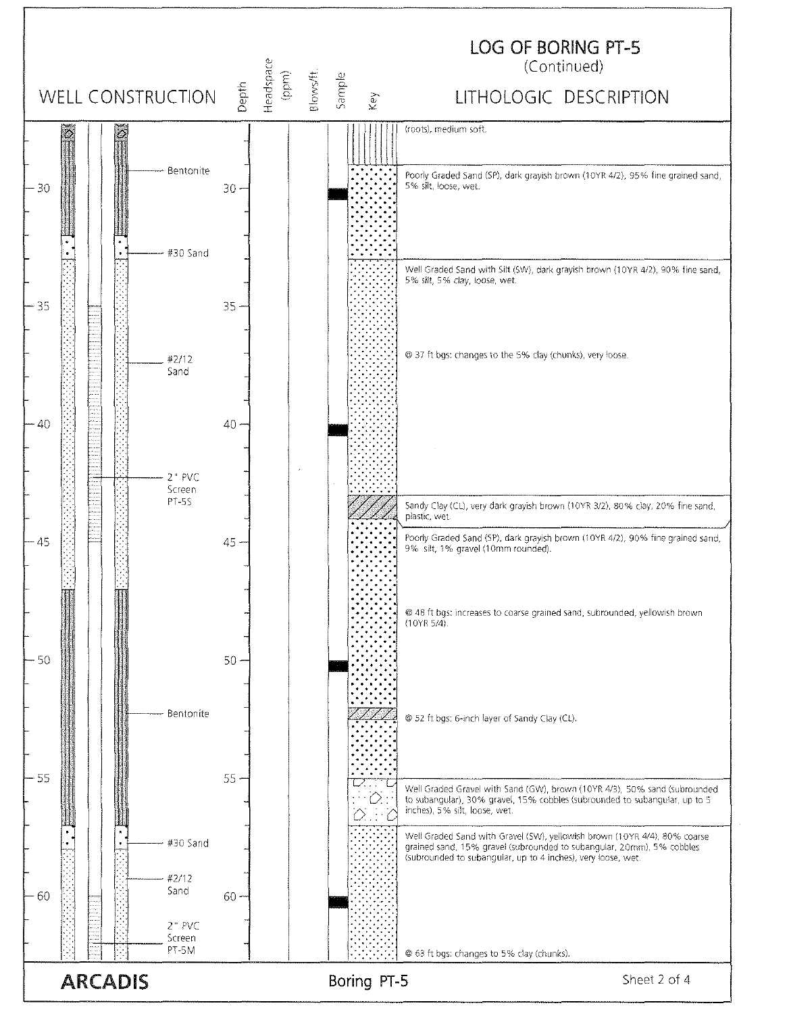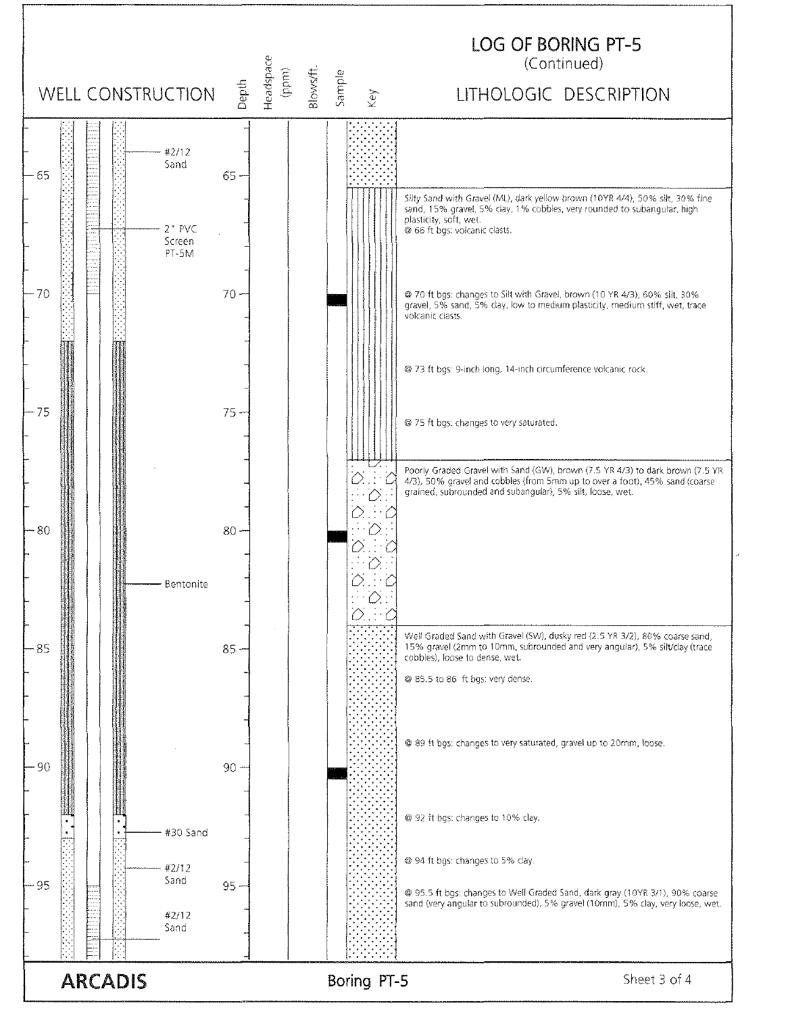